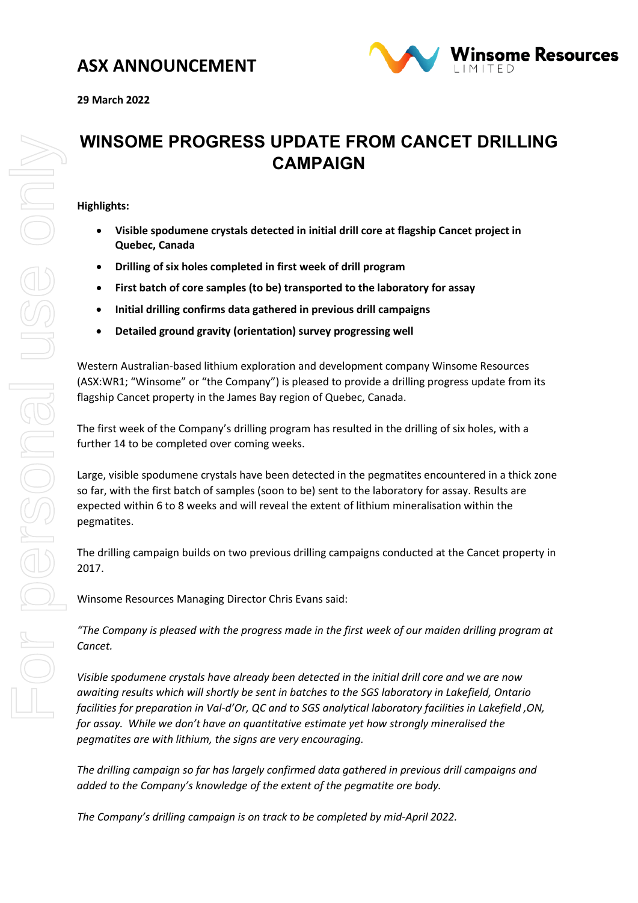## **ASX ANNOUNCEMENT**



# **WINSOME PROGRESS UPDATE FROM CANCET DRILLING CAMPAIGN**

#### **Highlights:**

- **Visible spodumene crystals detected in initial drill core at flagship Cancet project in Quebec, Canada**
- **Drilling of six holes completed in first week of drill program**
- **First batch of core samples (to be) transported to the laboratory for assay**
- **Initial drilling confirms data gathered in previous drill campaigns**
- **Detailed ground gravity (orientation) survey progressing well**

Western Australian-based lithium exploration and development company Winsome Resources (ASX:WR1; "Winsome" or "the Company") is pleased to provide a drilling progress update from its flagship Cancet property in the James Bay region of Quebec, Canada.

The first week of the Company's drilling program has resulted in the drilling of six holes, with a further 14 to be completed over coming weeks.

Large, visible spodumene crystals have been detected in the pegmatites encountered in a thick zone so far, with the first batch of samples (soon to be) sent to the laboratory for assay. Results are expected within 6 to 8 weeks and will reveal the extent of lithium mineralisation within the pegmatites.

The drilling campaign builds on two previous drilling campaigns conducted at the Cancet property in 2017.

Winsome Resources Managing Director Chris Evans said:

*"The Company is pleased with the progress made in the first week of our maiden drilling program at Cancet.*

*Visible spodumene crystals have already been detected in the initial drill core and we are now awaiting results which will shortly be sent in batches to the SGS laboratory in Lakefield, Ontario facilities for preparation in Val-d'Or, QC and to SGS analytical laboratory facilities in Lakefield ,ON, for assay. While we don't have an quantitative estimate yet how strongly mineralised the pegmatites are with lithium, the signs are very encouraging.*

*The drilling campaign so far has largely confirmed data gathered in previous drill campaigns and added to the Company's knowledge of the extent of the pegmatite ore body.* 

*The Company's drilling campaign is on track to be completed by mid-April 2022.*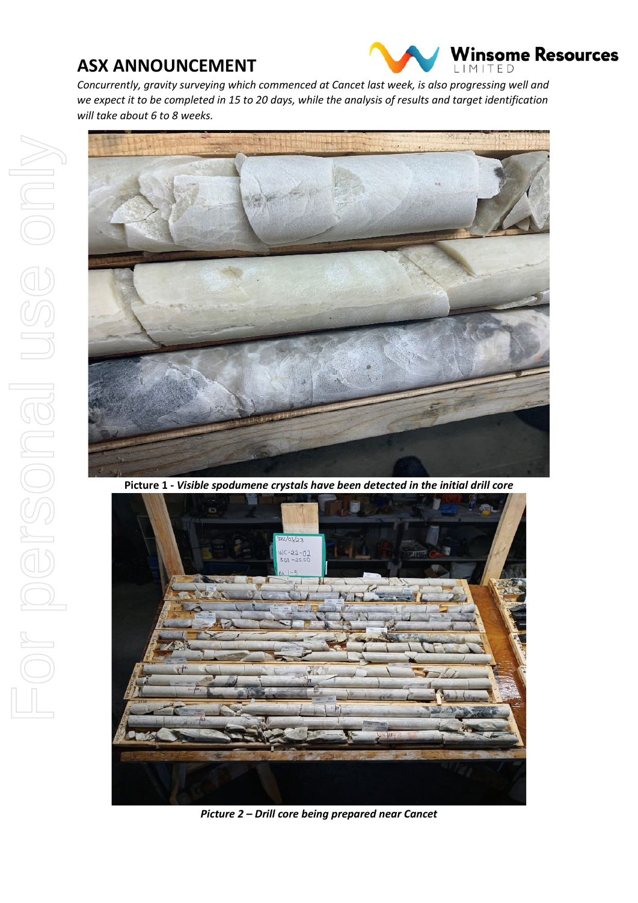## **ASX ANNOUNCEMENT**



*Concurrently, gravity surveying which commenced at Cancet last week, is also progressing well and we expect it to be completed in 15 to 20 days, while the analysis of results and target identification will take about 6 to 8 weeks.*



**Picture 1 -** *Visible spodumene crystals have been detected in the initial drill core*



*Picture 2 – Drill core being prepared near Cancet*